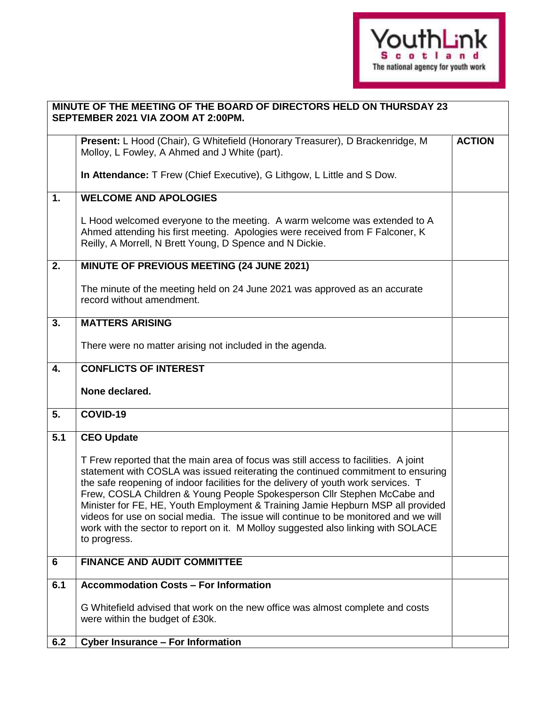

|     | MINUTE OF THE MEETING OF THE BOARD OF DIRECTORS HELD ON THURSDAY 23<br>SEPTEMBER 2021 VIA ZOOM AT 2:00PM.                                                                                                                                                                                                                                                                                                                                                                                                                                                                                                                |               |
|-----|--------------------------------------------------------------------------------------------------------------------------------------------------------------------------------------------------------------------------------------------------------------------------------------------------------------------------------------------------------------------------------------------------------------------------------------------------------------------------------------------------------------------------------------------------------------------------------------------------------------------------|---------------|
|     | Present: L Hood (Chair), G Whitefield (Honorary Treasurer), D Brackenridge, M<br>Molloy, L Fowley, A Ahmed and J White (part).                                                                                                                                                                                                                                                                                                                                                                                                                                                                                           | <b>ACTION</b> |
|     | In Attendance: T Frew (Chief Executive), G Lithgow, L Little and S Dow.                                                                                                                                                                                                                                                                                                                                                                                                                                                                                                                                                  |               |
| 1.  | <b>WELCOME AND APOLOGIES</b>                                                                                                                                                                                                                                                                                                                                                                                                                                                                                                                                                                                             |               |
|     | L Hood welcomed everyone to the meeting. A warm welcome was extended to A<br>Ahmed attending his first meeting. Apologies were received from F Falconer, K<br>Reilly, A Morrell, N Brett Young, D Spence and N Dickie.                                                                                                                                                                                                                                                                                                                                                                                                   |               |
| 2.  | MINUTE OF PREVIOUS MEETING (24 JUNE 2021)                                                                                                                                                                                                                                                                                                                                                                                                                                                                                                                                                                                |               |
|     | The minute of the meeting held on 24 June 2021 was approved as an accurate<br>record without amendment.                                                                                                                                                                                                                                                                                                                                                                                                                                                                                                                  |               |
| 3.  | <b>MATTERS ARISING</b>                                                                                                                                                                                                                                                                                                                                                                                                                                                                                                                                                                                                   |               |
|     | There were no matter arising not included in the agenda.                                                                                                                                                                                                                                                                                                                                                                                                                                                                                                                                                                 |               |
| 4.  | <b>CONFLICTS OF INTEREST</b>                                                                                                                                                                                                                                                                                                                                                                                                                                                                                                                                                                                             |               |
|     | None declared.                                                                                                                                                                                                                                                                                                                                                                                                                                                                                                                                                                                                           |               |
| 5.  | COVID-19                                                                                                                                                                                                                                                                                                                                                                                                                                                                                                                                                                                                                 |               |
| 5.1 | <b>CEO Update</b>                                                                                                                                                                                                                                                                                                                                                                                                                                                                                                                                                                                                        |               |
|     | T Frew reported that the main area of focus was still access to facilities. A joint<br>statement with COSLA was issued reiterating the continued commitment to ensuring<br>the safe reopening of indoor facilities for the delivery of youth work services. T<br>Frew, COSLA Children & Young People Spokesperson Cllr Stephen McCabe and<br>Minister for FE, HE, Youth Employment & Training Jamie Hepburn MSP all provided<br>videos for use on social media. The issue will continue to be monitored and we will<br>work with the sector to report on it. M Molloy suggested also linking with SOLACE<br>to progress. |               |
| 6   | <b>FINANCE AND AUDIT COMMITTEE</b>                                                                                                                                                                                                                                                                                                                                                                                                                                                                                                                                                                                       |               |
| 6.1 | <b>Accommodation Costs - For Information</b>                                                                                                                                                                                                                                                                                                                                                                                                                                                                                                                                                                             |               |
|     | G Whitefield advised that work on the new office was almost complete and costs<br>were within the budget of £30k.                                                                                                                                                                                                                                                                                                                                                                                                                                                                                                        |               |
| 6.2 | <b>Cyber Insurance - For Information</b>                                                                                                                                                                                                                                                                                                                                                                                                                                                                                                                                                                                 |               |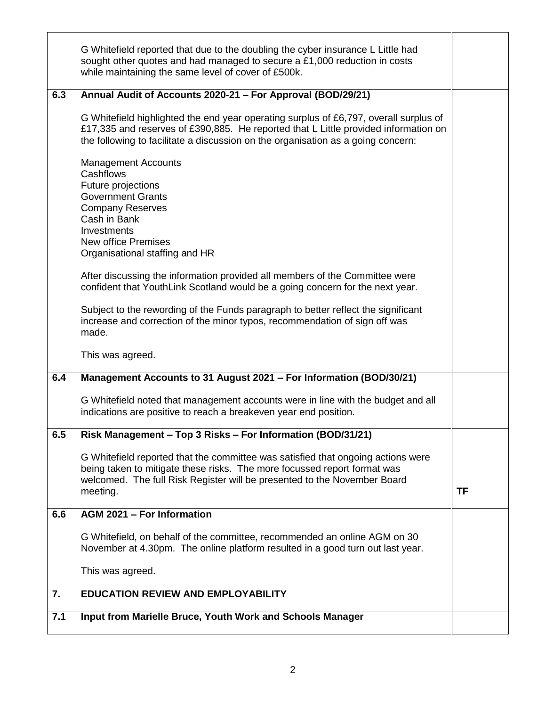|     | G Whitefield reported that due to the doubling the cyber insurance L Little had<br>sought other quotes and had managed to secure a £1,000 reduction in costs<br>while maintaining the same level of cover of £500k.                                              |           |
|-----|------------------------------------------------------------------------------------------------------------------------------------------------------------------------------------------------------------------------------------------------------------------|-----------|
| 6.3 | Annual Audit of Accounts 2020-21 - For Approval (BOD/29/21)                                                                                                                                                                                                      |           |
|     | G Whitefield highlighted the end year operating surplus of £6,797, overall surplus of<br>£17,335 and reserves of £390,885. He reported that L Little provided information on<br>the following to facilitate a discussion on the organisation as a going concern: |           |
|     | <b>Management Accounts</b><br>Cashflows<br>Future projections<br><b>Government Grants</b><br><b>Company Reserves</b><br>Cash in Bank                                                                                                                             |           |
|     | Investments                                                                                                                                                                                                                                                      |           |
|     | <b>New office Premises</b><br>Organisational staffing and HR                                                                                                                                                                                                     |           |
|     | After discussing the information provided all members of the Committee were<br>confident that YouthLink Scotland would be a going concern for the next year.                                                                                                     |           |
|     | Subject to the rewording of the Funds paragraph to better reflect the significant<br>increase and correction of the minor typos, recommendation of sign off was<br>made.                                                                                         |           |
|     | This was agreed.                                                                                                                                                                                                                                                 |           |
| 6.4 | Management Accounts to 31 August 2021 - For Information (BOD/30/21)                                                                                                                                                                                              |           |
|     | G Whitefield noted that management accounts were in line with the budget and all<br>indications are positive to reach a breakeven year end position.                                                                                                             |           |
| 6.5 | Risk Management - Top 3 Risks - For Information (BOD/31/21)                                                                                                                                                                                                      |           |
|     | G Whitefield reported that the committee was satisfied that ongoing actions were<br>being taken to mitigate these risks. The more focussed report format was<br>welcomed. The full Risk Register will be presented to the November Board                         |           |
|     | meeting.                                                                                                                                                                                                                                                         | <b>TF</b> |
| 6.6 | AGM 2021 - For Information                                                                                                                                                                                                                                       |           |
|     | G Whitefield, on behalf of the committee, recommended an online AGM on 30<br>November at 4.30pm. The online platform resulted in a good turn out last year.                                                                                                      |           |
|     | This was agreed.                                                                                                                                                                                                                                                 |           |
| 7.  | <b>EDUCATION REVIEW AND EMPLOYABILITY</b>                                                                                                                                                                                                                        |           |
| 7.1 | Input from Marielle Bruce, Youth Work and Schools Manager                                                                                                                                                                                                        |           |
|     |                                                                                                                                                                                                                                                                  |           |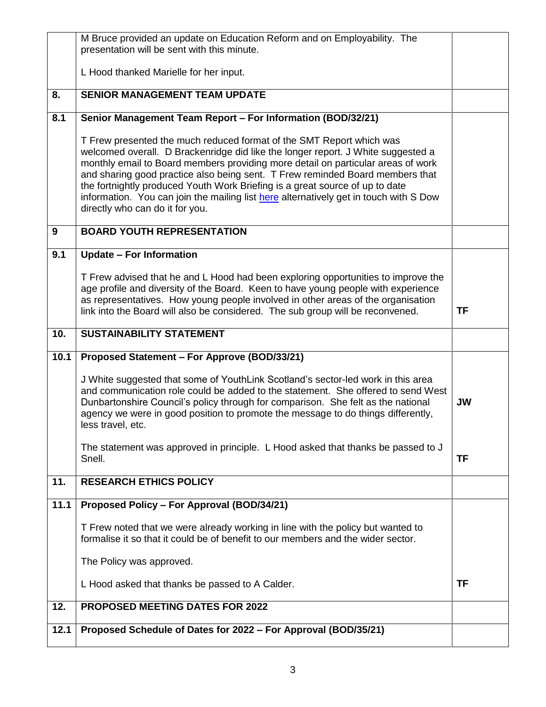|      | M Bruce provided an update on Education Reform and on Employability. The<br>presentation will be sent with this minute.                                                                                                                                                                                                                                                                                                                                                                                                                   |           |
|------|-------------------------------------------------------------------------------------------------------------------------------------------------------------------------------------------------------------------------------------------------------------------------------------------------------------------------------------------------------------------------------------------------------------------------------------------------------------------------------------------------------------------------------------------|-----------|
|      | L Hood thanked Marielle for her input.                                                                                                                                                                                                                                                                                                                                                                                                                                                                                                    |           |
| 8.   | <b>SENIOR MANAGEMENT TEAM UPDATE</b>                                                                                                                                                                                                                                                                                                                                                                                                                                                                                                      |           |
| 8.1  | Senior Management Team Report - For Information (BOD/32/21)                                                                                                                                                                                                                                                                                                                                                                                                                                                                               |           |
|      | T Frew presented the much reduced format of the SMT Report which was<br>welcomed overall. D Brackenridge did like the longer report. J White suggested a<br>monthly email to Board members providing more detail on particular areas of work<br>and sharing good practice also being sent. T Frew reminded Board members that<br>the fortnightly produced Youth Work Briefing is a great source of up to date<br>information. You can join the mailing list here alternatively get in touch with S Dow<br>directly who can do it for you. |           |
| 9    | <b>BOARD YOUTH REPRESENTATION</b>                                                                                                                                                                                                                                                                                                                                                                                                                                                                                                         |           |
| 9.1  | <b>Update - For Information</b>                                                                                                                                                                                                                                                                                                                                                                                                                                                                                                           |           |
|      | T Frew advised that he and L Hood had been exploring opportunities to improve the<br>age profile and diversity of the Board. Keen to have young people with experience<br>as representatives. How young people involved in other areas of the organisation<br>link into the Board will also be considered. The sub group will be reconvened.                                                                                                                                                                                              | <b>TF</b> |
| 10.  | <b>SUSTAINABILITY STATEMENT</b>                                                                                                                                                                                                                                                                                                                                                                                                                                                                                                           |           |
| 10.1 | Proposed Statement - For Approve (BOD/33/21)                                                                                                                                                                                                                                                                                                                                                                                                                                                                                              |           |
|      | J White suggested that some of YouthLink Scotland's sector-led work in this area<br>and communication role could be added to the statement. She offered to send West<br>Dunbartonshire Council's policy through for comparison. She felt as the national<br>agency we were in good position to promote the message to do things differently,<br>less travel, etc.                                                                                                                                                                         | <b>JW</b> |
|      | The statement was approved in principle. L Hood asked that thanks be passed to J<br>Snell.                                                                                                                                                                                                                                                                                                                                                                                                                                                | <b>TF</b> |
| 11.  | <b>RESEARCH ETHICS POLICY</b>                                                                                                                                                                                                                                                                                                                                                                                                                                                                                                             |           |
| 11.1 | Proposed Policy - For Approval (BOD/34/21)                                                                                                                                                                                                                                                                                                                                                                                                                                                                                                |           |
|      | T Frew noted that we were already working in line with the policy but wanted to<br>formalise it so that it could be of benefit to our members and the wider sector.                                                                                                                                                                                                                                                                                                                                                                       |           |
|      | The Policy was approved.                                                                                                                                                                                                                                                                                                                                                                                                                                                                                                                  |           |
|      |                                                                                                                                                                                                                                                                                                                                                                                                                                                                                                                                           |           |
|      | L Hood asked that thanks be passed to A Calder.                                                                                                                                                                                                                                                                                                                                                                                                                                                                                           | <b>TF</b> |
| 12.  | <b>PROPOSED MEETING DATES FOR 2022</b>                                                                                                                                                                                                                                                                                                                                                                                                                                                                                                    |           |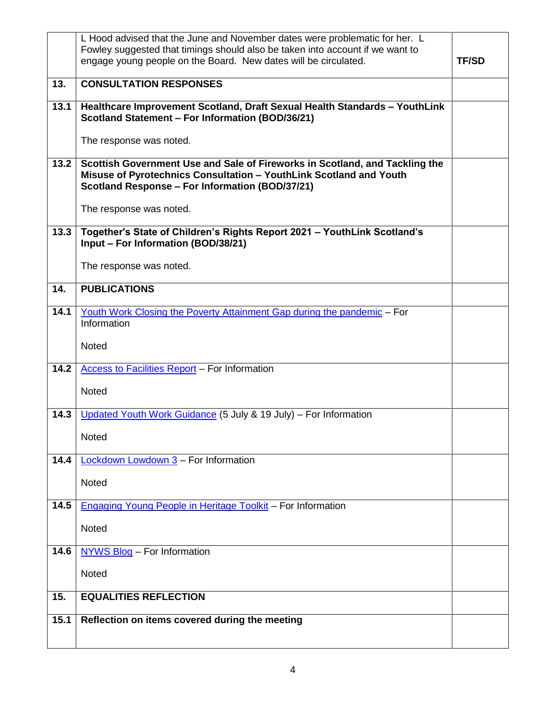|      | L Hood advised that the June and November dates were problematic for her. L                                                                      |              |
|------|--------------------------------------------------------------------------------------------------------------------------------------------------|--------------|
|      | Fowley suggested that timings should also be taken into account if we want to<br>engage young people on the Board. New dates will be circulated. | <b>TF/SD</b> |
|      |                                                                                                                                                  |              |
| 13.  | <b>CONSULTATION RESPONSES</b>                                                                                                                    |              |
| 13.1 | Healthcare Improvement Scotland, Draft Sexual Health Standards - YouthLink                                                                       |              |
|      | Scotland Statement - For Information (BOD/36/21)                                                                                                 |              |
|      | The response was noted.                                                                                                                          |              |
| 13.2 | Scottish Government Use and Sale of Fireworks in Scotland, and Tackling the                                                                      |              |
|      | Misuse of Pyrotechnics Consultation - YouthLink Scotland and Youth<br>Scotland Response - For Information (BOD/37/21)                            |              |
|      |                                                                                                                                                  |              |
|      | The response was noted.                                                                                                                          |              |
| 13.3 | Together's State of Children's Rights Report 2021 - YouthLink Scotland's                                                                         |              |
|      | Input - For Information (BOD/38/21)                                                                                                              |              |
|      | The response was noted.                                                                                                                          |              |
| 14.  | <b>PUBLICATIONS</b>                                                                                                                              |              |
|      |                                                                                                                                                  |              |
| 14.1 | <u>Youth Work Closing the Poverty Attainment Gap during the pandemic</u> - For                                                                   |              |
|      | Information                                                                                                                                      |              |
|      | Noted                                                                                                                                            |              |
| 14.2 | <b>Access to Facilities Report - For Information</b>                                                                                             |              |
|      |                                                                                                                                                  |              |
|      | <b>Noted</b>                                                                                                                                     |              |
| 14.3 | Updated Youth Work Guidance (5 July & 19 July) - For Information                                                                                 |              |
|      | Noted                                                                                                                                            |              |
|      |                                                                                                                                                  |              |
| 14.4 | Lockdown Lowdown 3 - For Information                                                                                                             |              |
|      | Noted                                                                                                                                            |              |
| 14.5 | Engaging Young People in Heritage Toolkit - For Information                                                                                      |              |
|      |                                                                                                                                                  |              |
|      | <b>Noted</b>                                                                                                                                     |              |
| 14.6 | NYWS Blog - For Information                                                                                                                      |              |
|      | <b>Noted</b>                                                                                                                                     |              |
|      |                                                                                                                                                  |              |
| 15.  | <b>EQUALITIES REFLECTION</b>                                                                                                                     |              |
| 15.1 | Reflection on items covered during the meeting                                                                                                   |              |
|      |                                                                                                                                                  |              |
|      |                                                                                                                                                  |              |